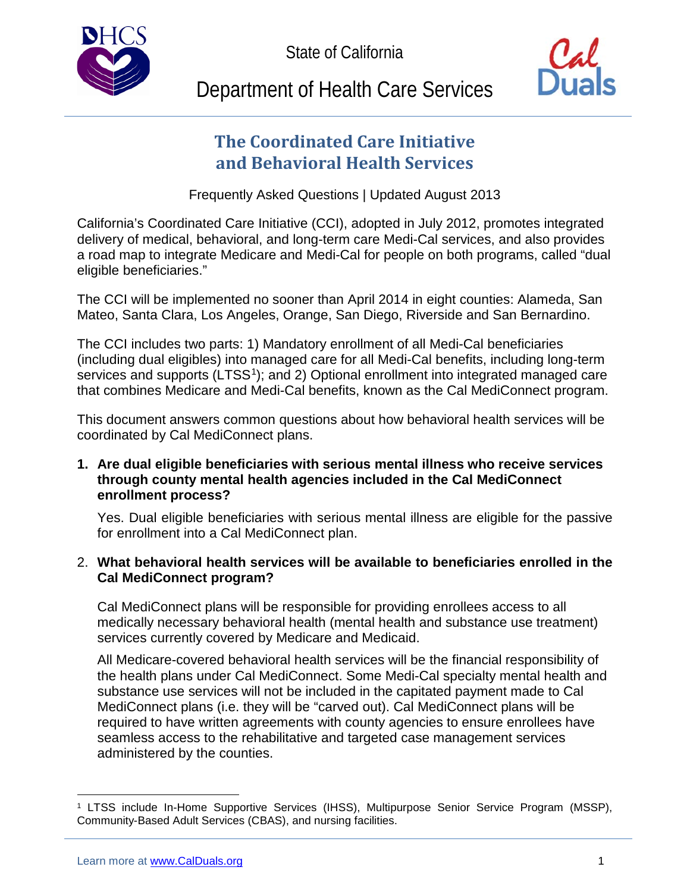State of California



# Department of Health Care Services

# **The Coordinated Care Initiative and Behavioral Health Services**

Frequently Asked Questions | Updated August 2013

California's Coordinated Care Initiative (CCI), adopted in July 2012, promotes integrated delivery of medical, behavioral, and long-term care Medi-Cal services, and also provides a road map to integrate Medicare and Medi-Cal for people on both programs, called "dual eligible beneficiaries."

The CCI will be implemented no sooner than April 2014 in eight counties: Alameda, San Mateo, Santa Clara, Los Angeles, Orange, San Diego, Riverside and San Bernardino.

The CCI includes two parts: 1) Mandatory enrollment of all Medi-Cal beneficiaries (including dual eligibles) into managed care for all Medi-Cal benefits, including long-term services and supports (LTSS<sup>1</sup>); and 2) Optional enrollment into integrated managed care that combines Medicare and Medi-Cal benefits, known as the Cal MediConnect program.

This document answers common questions about how behavioral health services will be coordinated by Cal MediConnect plans.

# **1. Are dual eligible beneficiaries with serious mental illness who receive services through county mental health agencies included in the Cal MediConnect enrollment process?**

Yes. Dual eligible beneficiaries with serious mental illness are eligible for the passive for enrollment into a Cal MediConnect plan.

# 2. **What behavioral health services will be available to beneficiaries enrolled in the Cal MediConnect program?**

Cal MediConnect plans will be responsible for providing enrollees access to all medically necessary behavioral health (mental health and substance use treatment) services currently covered by Medicare and Medicaid.

All Medicare-covered behavioral health services will be the financial responsibility of the health plans under Cal MediConnect. Some Medi-Cal specialty mental health and substance use services will not be included in the capitated payment made to Cal MediConnect plans (i.e. they will be "carved out). Cal MediConnect plans will be required to have written agreements with county agencies to ensure enrollees have seamless access to the rehabilitative and targeted case management services administered by the counties.

<span id="page-0-0"></span><sup>1</sup> LTSS include In-Home Supportive Services (IHSS), Multipurpose Senior Service Program (MSSP), Community-Based Adult Services (CBAS), and nursing facilities.  $\overline{a}$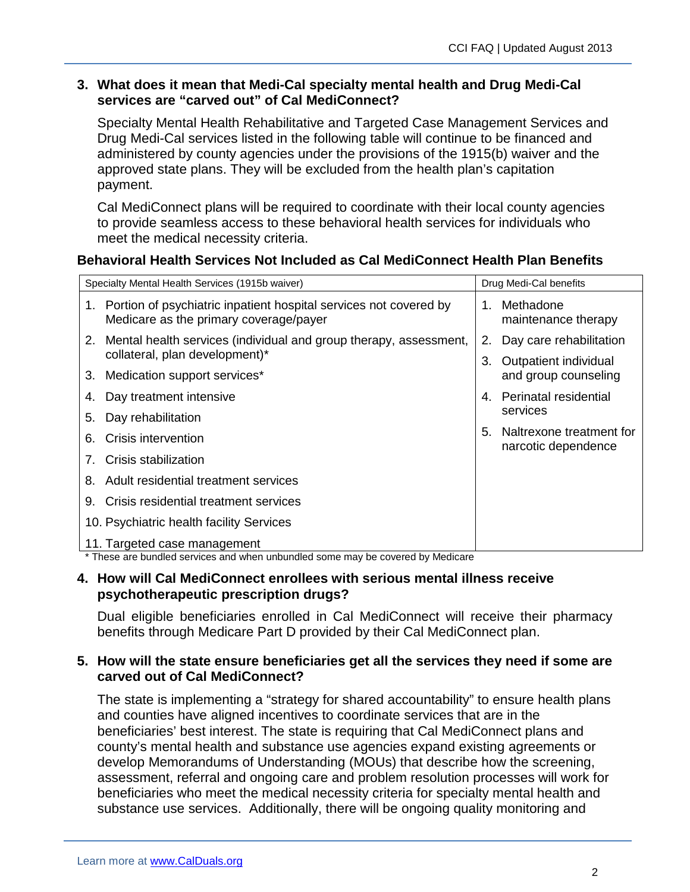#### **3. What does it mean that Medi-Cal specialty mental health and Drug Medi-Cal services are "carved out" of Cal MediConnect?**

Specialty Mental Health Rehabilitative and Targeted Case Management Services and Drug Medi-Cal services listed in the following table will continue to be financed and administered by county agencies under the provisions of the 1915(b) waiver and the approved state plans. They will be excluded from the health plan's capitation payment.

Cal MediConnect plans will be required to coordinate with their local county agencies to provide seamless access to these behavioral health services for individuals who meet the medical necessity criteria.

#### **Behavioral Health Services Not Included as Cal MediConnect Health Plan Benefits**

| Specialty Mental Health Services (1915b waiver)                                                                | Drug Medi-Cal benefits                                |
|----------------------------------------------------------------------------------------------------------------|-------------------------------------------------------|
| 1. Portion of psychiatric inpatient hospital services not covered by<br>Medicare as the primary coverage/payer | Methadone<br>1.<br>maintenance therapy                |
| Mental health services (individual and group therapy, assessment,<br>2.                                        | Day care rehabilitation<br>2.                         |
| collateral, plan development)*                                                                                 | 3.<br>Outpatient individual                           |
| Medication support services*<br>3.                                                                             | and group counseling                                  |
| Day treatment intensive<br>4.                                                                                  | Perinatal residential<br>4 <sup>1</sup>               |
| Day rehabilitation<br>5.                                                                                       | services                                              |
| Crisis intervention<br>6.                                                                                      | Naltrexone treatment for<br>5.<br>narcotic dependence |
| Crisis stabilization                                                                                           |                                                       |
| Adult residential treatment services<br>8.                                                                     |                                                       |
| Crisis residential treatment services<br>9.                                                                    |                                                       |
| 10. Psychiatric health facility Services                                                                       |                                                       |
| 11. Targeted case management                                                                                   |                                                       |

\* These are bundled services and when unbundled some may be covered by Medicare

#### **4. How will Cal MediConnect enrollees with serious mental illness receive psychotherapeutic prescription drugs?**

Dual eligible beneficiaries enrolled in Cal MediConnect will receive their pharmacy benefits through Medicare Part D provided by their Cal MediConnect plan.

# **5. How will the state ensure beneficiaries get all the services they need if some are carved out of Cal MediConnect?**

The state is implementing a "strategy for shared accountability" to ensure health plans and counties have aligned incentives to coordinate services that are in the beneficiaries' best interest. The state is requiring that Cal MediConnect plans and county's mental health and substance use agencies expand existing agreements or develop Memorandums of Understanding (MOUs) that describe how the screening, assessment, referral and ongoing care and problem resolution processes will work for beneficiaries who meet the medical necessity criteria for specialty mental health and substance use services. Additionally, there will be ongoing quality monitoring and